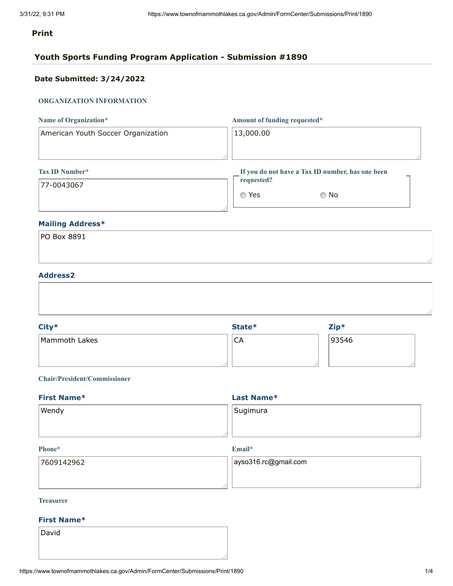### **Print**

# **Youth Sports Funding Program Application - Submission #1890**

### **Date Submitted: 3/24/2022**

### **ORGANIZATION INFORMATION**

| Name of Organization*              | Amount of funding requested*                     |  |
|------------------------------------|--------------------------------------------------|--|
| American Youth Soccer Organization | 13,000.00                                        |  |
|                                    |                                                  |  |
| <b>Tax ID Number*</b>              | If you do not have a Tax ID number, has one been |  |
| 77-0043067                         | requested?                                       |  |

| ◎ Yes | © No |
|-------|------|
|-------|------|

### **Mailing Address\***

| PO Box 8891<br>$ -$ |  |  |  |
|---------------------|--|--|--|
|                     |  |  |  |
|                     |  |  |  |

#### **Address2**

| City*         | State* | $Zip*$ |  |
|---------------|--------|--------|--|
| Mammoth Lakes | CA     | 93546  |  |
|               |        |        |  |

#### **Chair/President/Commissioner**

| Sugimura |  |
|----------|--|
|          |  |
|          |  |

#### **Phone\***

**Email\***

| 17609142962 | $ $ ayso316.rc@gmail.com |
|-------------|--------------------------|
|             |                          |

#### **Treasurer**

#### **First Name\***

David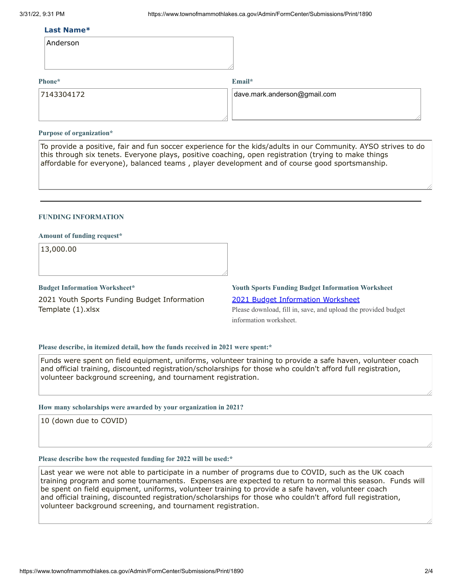#### **Last Name\***

| Anderson |
|----------|
|----------|

#### **Phone\***

**Email\***

| 7143304172 | $\vert$ dave.mark.anderson@gmail.com |
|------------|--------------------------------------|
|            |                                      |

#### **Purpose of organization\***

To provide a positive, fair and fun soccer experience for the kids/adults in our Community. AYSO strives to do this through six tenets. Everyone plays, positive coaching, open registration (trying to make things affordable for everyone), balanced teams , player development and of course good sportsmanship.

#### **FUNDING INFORMATION**

#### **Amount of funding request\***

13,000.00

#### **Budget Information Worksheet\***

2021 Youth Sports Funding Budget Information Template (1).xlsx

## **Youth Sports Funding Budget Information Worksheet** 2021 Budget [Information](https://www.townofmammothlakes.ca.gov/DocumentCenter/View/11932/2021-Youth-Sports-Funding-Budget-Information-Template) Worksheet

Please download, fill in, save, and upload the provided budget information worksheet.

#### **Please describe, in itemized detail, how the funds received in 2021 were spent:\***

Funds were spent on field equipment, uniforms, volunteer training to provide a safe haven, volunteer coach and official training, discounted registration/scholarships for those who couldn't afford full registration, volunteer background screening, and tournament registration.

#### **How many scholarships were awarded by your organization in 2021?**

10 (down due to COVID)

#### **Please describe how the requested funding for 2022 will be used:\***

Last year we were not able to participate in a number of programs due to COVID, such as the UK coach training program and some tournaments. Expenses are expected to return to normal this season. Funds will be spent on field equipment, uniforms, volunteer training to provide a safe haven, volunteer coach and official training, discounted registration/scholarships for those who couldn't afford full registration, volunteer background screening, and tournament registration.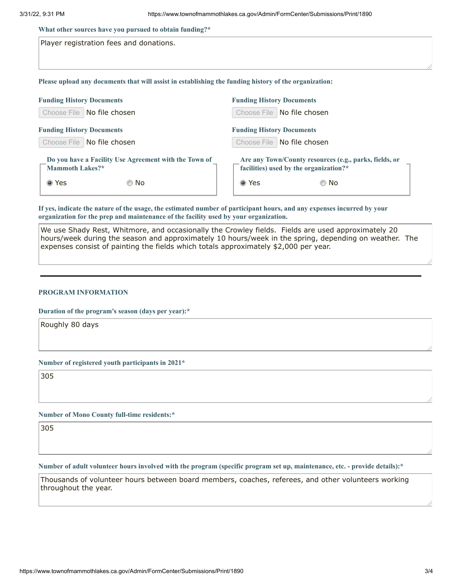|  | What other sources have you pursued to obtain funding?* |  |  |  |  |  |  |
|--|---------------------------------------------------------|--|--|--|--|--|--|
|--|---------------------------------------------------------|--|--|--|--|--|--|

| Player registration fees and donations.                                                               |                                                                                                  |
|-------------------------------------------------------------------------------------------------------|--------------------------------------------------------------------------------------------------|
| Please upload any documents that will assist in establishing the funding history of the organization: |                                                                                                  |
| <b>Funding History Documents</b>                                                                      | <b>Funding History Documents</b>                                                                 |
| Choose File   No file chosen                                                                          | Choose File   No file chosen                                                                     |
| <b>Funding History Documents</b>                                                                      | <b>Funding History Documents</b>                                                                 |
| Choose File   No file chosen                                                                          | Choose File   No file chosen                                                                     |
| Do you have a Facility Use Agreement with the Town of<br><b>Mammoth Lakes?*</b>                       | Are any Town/County resources (e.g., parks, fields, or<br>facilities) used by the organization?* |
| ◉ Yes<br>© No                                                                                         | ◉ Yes<br>© No                                                                                    |

If yes, indicate the nature of the usage, the estimated number of participant hours, and any expenses incurred by your **organization for the prep and maintenance of the facility used by your organization.**

We use Shady Rest, Whitmore, and occasionally the Crowley fields. Fields are used approximately 20 hours/week during the season and approximately 10 hours/week in the spring, depending on weather. The expenses consist of painting the fields which totals approximately \$2,000 per year.

#### **PROGRAM INFORMATION**

**Duration of the program's season (days per year):\***

Roughly 80 days

**Number of registered youth participants in 2021\***

305

**Number of Mono County full-time residents:\***

305

Number of adult volunteer hours involved with the program (specific program set up, maintenance, etc. - provide details):\*

Thousands of volunteer hours between board members, coaches, referees, and other volunteers working throughout the year.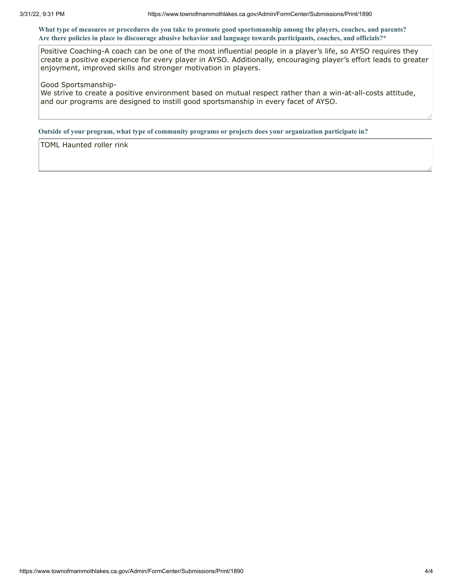What type of measures or procedures do you take to promote good sportsmanship among the players, coaches, and parents? Are there policies in place to discourage abusive behavior and language towards participants, coaches, and officials?\*

Positive Coaching-A coach can be one of the most influential people in a player's life, so AYSO requires they create a positive experience for every player in AYSO. Additionally, encouraging player's effort leads to greater enjoyment, improved skills and stronger motivation in players.

#### Good Sportsmanship-

We strive to create a positive environment based on mutual respect rather than a win-at-all-costs attitude, and our programs are designed to instill good sportsmanship in every facet of AYSO.

**Outside of your program, what type of community programs or projects does your organization participate in?**

TOML Haunted roller rink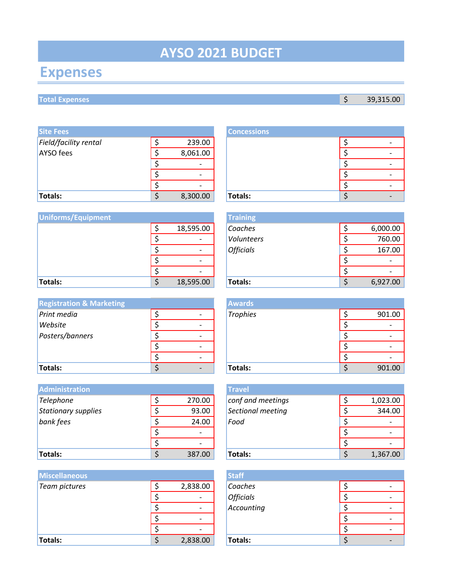# **AYSO 2021 BUDGET**

# **Expenses**

# **Total Expenses** \$ 39,315.00

| <b>Site Fees</b>      |                          | <b>Concessions</b> |   |
|-----------------------|--------------------------|--------------------|---|
| Field/facility rental | 239.00                   |                    |   |
| AYSO fees             | 8,061.00                 |                    |   |
|                       | $\overline{\phantom{a}}$ |                    | ٠ |
|                       | $\overline{\phantom{a}}$ |                    |   |
|                       | $\overline{\phantom{a}}$ |                    |   |
| <b>Totals:</b>        | 8,300.00                 | Totals:            |   |

| <b>Uniforms/Equipment</b> |                          | <b>Training</b>  |  |          |
|---------------------------|--------------------------|------------------|--|----------|
|                           | 18,595.00                | Coaches          |  | 6,000.00 |
|                           |                          | Volunteers       |  | 760.00   |
|                           | $\overline{\phantom{a}}$ | <b>Officials</b> |  | 167.00   |
|                           | $\overline{\phantom{0}}$ |                  |  |          |
|                           | $\overline{\phantom{0}}$ |                  |  |          |
| Totals:                   | 18,595.00                | <b>Totals:</b>   |  | 6,927.00 |

| <b>Registration &amp; Marketing</b> |  |                          | <b>Awards</b>   |  |        |  |
|-------------------------------------|--|--------------------------|-----------------|--|--------|--|
| <b>Print media</b>                  |  | $\overline{\phantom{0}}$ | <b>Trophies</b> |  | 901.00 |  |
| Website                             |  | $\overline{\phantom{0}}$ |                 |  |        |  |
| Posters/banners                     |  |                          |                 |  |        |  |
|                                     |  |                          |                 |  |        |  |
|                                     |  | $\overline{\phantom{0}}$ |                 |  |        |  |
| Totals:                             |  |                          | <b>Totals:</b>  |  | 901.00 |  |

| <b>Administration</b> |                          | <b>Travel</b>     |  |          |
|-----------------------|--------------------------|-------------------|--|----------|
| Telephone             | 270.00                   | conf and meetings |  | 1,023.00 |
| Stationary supplies   | 93.00                    | Sectional meeting |  | 344.00   |
| bank fees             | 24.00                    | Food              |  |          |
|                       | $\overline{\phantom{0}}$ |                   |  |          |
|                       | $\overline{\phantom{0}}$ |                   |  |          |
| 'Totals:              | 387.00                   | <b>Totals:</b>    |  | 1,367.00 |

| <b>Miscellaneous</b> |                          | <b>Staff</b>     |   |
|----------------------|--------------------------|------------------|---|
| Team pictures        | 2,838.00                 | Coaches          |   |
|                      | $\overline{\phantom{a}}$ | <b>Officials</b> |   |
|                      | $\overline{\phantom{a}}$ | Accounting       | ٠ |
|                      | $\overline{\phantom{a}}$ |                  |   |
|                      | $\overline{\phantom{a}}$ |                  |   |
| Totals:              | 2,838.00                 | Totals:          |   |

|    |          | <b>Concessions</b> |  |
|----|----------|--------------------|--|
| \$ | 239.00   |                    |  |
| \$ | 8,061.00 |                    |  |
| ¢  |          |                    |  |
| ċ  |          |                    |  |
| c  |          |                    |  |
| ċ  | 8,300.00 | Totals:            |  |

|                 | <b>Training</b>  |          |
|-----------------|------------------|----------|
| \$<br>18,595.00 | Coaches          | 6,000.00 |
| \$              | Volunteers       | 760.00   |
| \$              | <b>Officials</b> | 167.00   |
| \$              |                  |          |
| \$              |                  |          |
| \$<br>18,595.00 | <b>Totals:</b>   | 6,927.00 |
|                 |                  |          |

|    | <b>Awards</b> |  |        |
|----|---------------|--|--------|
| \$ | Trophies      |  | 901.00 |
| ¢  |               |  |        |
| ċ  |               |  |        |
| ć  |               |  |        |
| ć  |               |  |        |
| ሖ  | Totals:       |  | 901.00 |

|              | Travel            |  |          |
|--------------|-------------------|--|----------|
| \$<br>270.00 | conf and meetings |  | 1,023.00 |
| \$<br>93.00  | Sectional meeting |  | 344.00   |
| \$<br>24.00  | Food              |  |          |
| \$           |                   |  |          |
| \$           |                   |  |          |
| \$<br>387.00 | Totals:           |  | 1,367.00 |

|    |          | <b>Staff</b>     |  |
|----|----------|------------------|--|
| \$ | 2,838.00 | Coaches          |  |
| \$ |          | <b>Officials</b> |  |
| \$ |          | Accounting       |  |
| Ś  |          |                  |  |
| \$ |          |                  |  |
| ċ  | 2,838.00 | Totals:          |  |